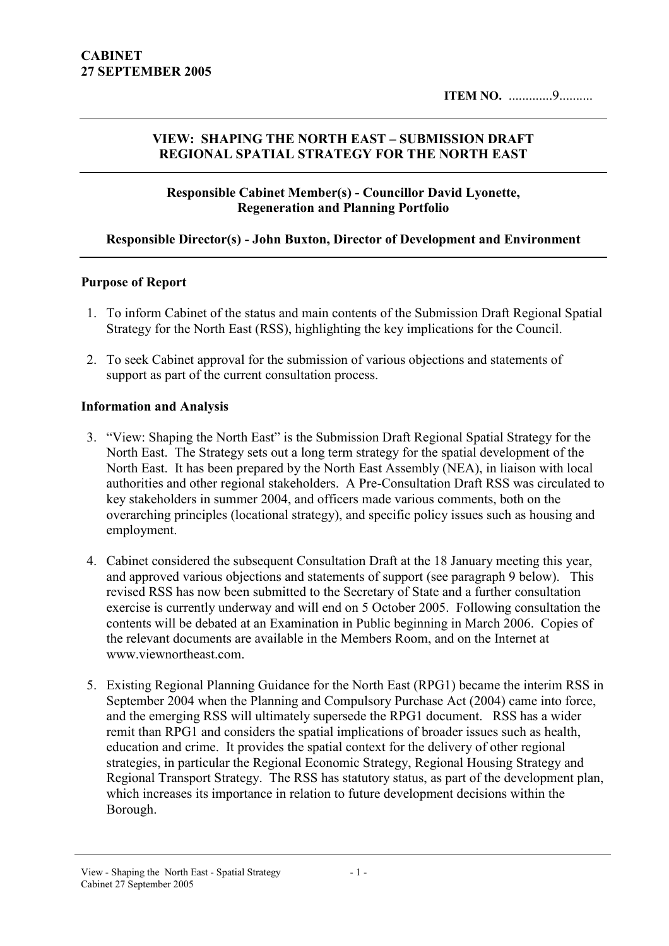#### VIEW: SHAPING THE NORTH EAST – SUBMISSION DRAFT REGIONAL SPATIAL STRATEGY FOR THE NORTH EAST

#### Responsible Cabinet Member(s) - Councillor David Lyonette, Regeneration and Planning Portfolio

#### Responsible Director(s) - John Buxton, Director of Development and Environment

#### Purpose of Report

- 1. To inform Cabinet of the status and main contents of the Submission Draft Regional Spatial Strategy for the North East (RSS), highlighting the key implications for the Council.
- 2. To seek Cabinet approval for the submission of various objections and statements of support as part of the current consultation process.

#### Information and Analysis

- 3. "View: Shaping the North East" is the Submission Draft Regional Spatial Strategy for the North East. The Strategy sets out a long term strategy for the spatial development of the North East. It has been prepared by the North East Assembly (NEA), in liaison with local authorities and other regional stakeholders. A Pre-Consultation Draft RSS was circulated to key stakeholders in summer 2004, and officers made various comments, both on the overarching principles (locational strategy), and specific policy issues such as housing and employment.
- 4. Cabinet considered the subsequent Consultation Draft at the 18 January meeting this year, and approved various objections and statements of support (see paragraph 9 below). This revised RSS has now been submitted to the Secretary of State and a further consultation exercise is currently underway and will end on 5 October 2005. Following consultation the contents will be debated at an Examination in Public beginning in March 2006. Copies of the relevant documents are available in the Members Room, and on the Internet at www.viewnortheast.com.
- 5. Existing Regional Planning Guidance for the North East (RPG1) became the interim RSS in September 2004 when the Planning and Compulsory Purchase Act (2004) came into force, and the emerging RSS will ultimately supersede the RPG1 document. RSS has a wider remit than RPG1 and considers the spatial implications of broader issues such as health, education and crime. It provides the spatial context for the delivery of other regional strategies, in particular the Regional Economic Strategy, Regional Housing Strategy and Regional Transport Strategy. The RSS has statutory status, as part of the development plan, which increases its importance in relation to future development decisions within the Borough.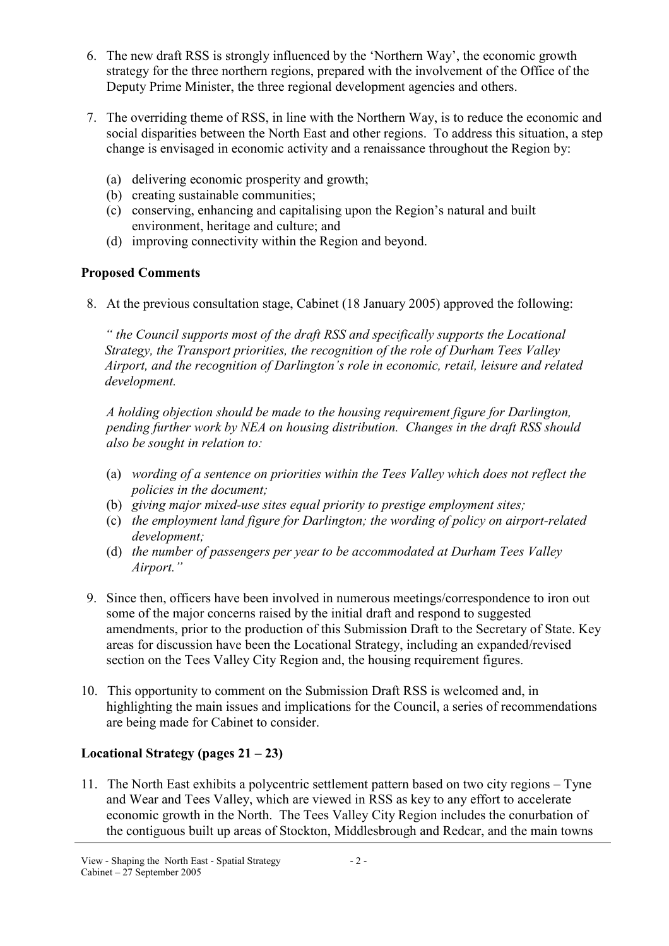- 6. The new draft RSS is strongly influenced by the 'Northern Way', the economic growth strategy for the three northern regions, prepared with the involvement of the Office of the Deputy Prime Minister, the three regional development agencies and others.
- 7. The overriding theme of RSS, in line with the Northern Way, is to reduce the economic and social disparities between the North East and other regions. To address this situation, a step change is envisaged in economic activity and a renaissance throughout the Region by:
	- (a) delivering economic prosperity and growth;
	- (b) creating sustainable communities;
	- (c) conserving, enhancing and capitalising upon the Region's natural and built environment, heritage and culture; and
	- (d) improving connectivity within the Region and beyond.

## Proposed Comments

8. At the previous consultation stage, Cabinet (18 January 2005) approved the following:

" the Council supports most of the draft RSS and specifically supports the Locational Strategy, the Transport priorities, the recognition of the role of Durham Tees Valley Airport, and the recognition of Darlington's role in economic, retail, leisure and related development.

A holding objection should be made to the housing requirement figure for Darlington, pending further work by NEA on housing distribution. Changes in the draft RSS should also be sought in relation to:

- (a) wording of a sentence on priorities within the Tees Valley which does not reflect the policies in the document;
- (b) giving major mixed-use sites equal priority to prestige employment sites;
- (c) the employment land figure for Darlington; the wording of policy on airport-related development;
- (d) the number of passengers per year to be accommodated at Durham Tees Valley Airport."
- 9. Since then, officers have been involved in numerous meetings/correspondence to iron out some of the major concerns raised by the initial draft and respond to suggested amendments, prior to the production of this Submission Draft to the Secretary of State. Key areas for discussion have been the Locational Strategy, including an expanded/revised section on the Tees Valley City Region and, the housing requirement figures.
- 10. This opportunity to comment on the Submission Draft RSS is welcomed and, in highlighting the main issues and implications for the Council, a series of recommendations are being made for Cabinet to consider.

# Locational Strategy (pages  $21 - 23$ )

11. The North East exhibits a polycentric settlement pattern based on two city regions – Tyne and Wear and Tees Valley, which are viewed in RSS as key to any effort to accelerate economic growth in the North. The Tees Valley City Region includes the conurbation of the contiguous built up areas of Stockton, Middlesbrough and Redcar, and the main towns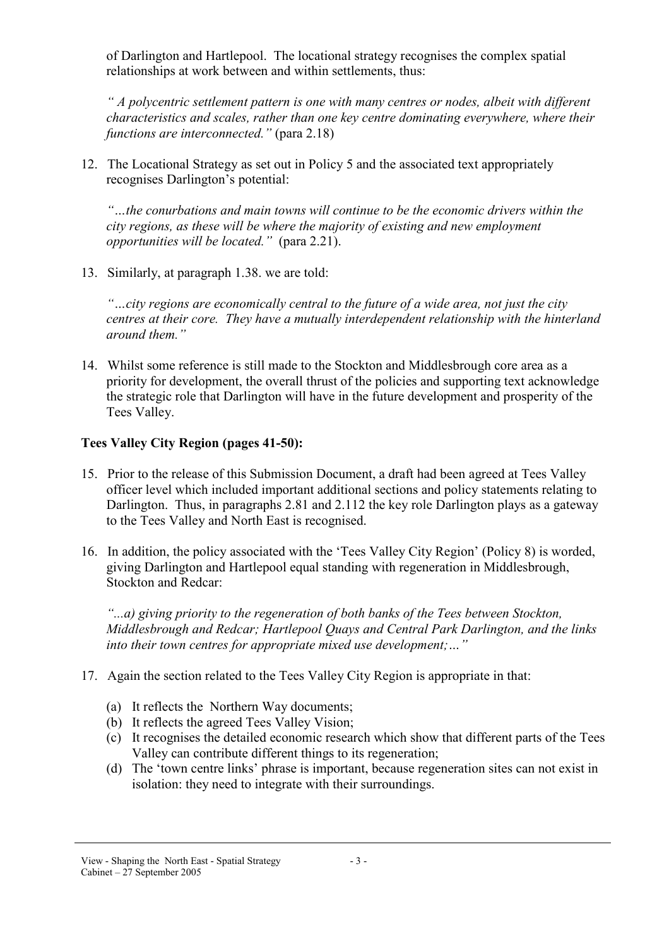of Darlington and Hartlepool. The locational strategy recognises the complex spatial relationships at work between and within settlements, thus:

" A polycentric settlement pattern is one with many centres or nodes, albeit with different characteristics and scales, rather than one key centre dominating everywhere, where their functions are interconnected." (para 2.18)

12. The Locational Strategy as set out in Policy 5 and the associated text appropriately recognises Darlington's potential:

"…the conurbations and main towns will continue to be the economic drivers within the city regions, as these will be where the majority of existing and new employment opportunities will be located." (para 2.21).

13. Similarly, at paragraph 1.38. we are told:

"…city regions are economically central to the future of a wide area, not just the city centres at their core. They have a mutually interdependent relationship with the hinterland around them."

14. Whilst some reference is still made to the Stockton and Middlesbrough core area as a priority for development, the overall thrust of the policies and supporting text acknowledge the strategic role that Darlington will have in the future development and prosperity of the Tees Valley.

## Tees Valley City Region (pages 41-50):

- 15. Prior to the release of this Submission Document, a draft had been agreed at Tees Valley officer level which included important additional sections and policy statements relating to Darlington. Thus, in paragraphs 2.81 and 2.112 the key role Darlington plays as a gateway to the Tees Valley and North East is recognised.
- 16. In addition, the policy associated with the 'Tees Valley City Region' (Policy 8) is worded, giving Darlington and Hartlepool equal standing with regeneration in Middlesbrough, Stockton and Redcar:

"...a) giving priority to the regeneration of both banks of the Tees between Stockton, Middlesbrough and Redcar; Hartlepool Quays and Central Park Darlington, and the links into their town centres for appropriate mixed use development;…"

- 17. Again the section related to the Tees Valley City Region is appropriate in that:
	- (a) It reflects the Northern Way documents;
	- (b) It reflects the agreed Tees Valley Vision;
	- (c) It recognises the detailed economic research which show that different parts of the Tees Valley can contribute different things to its regeneration;
	- (d) The 'town centre links' phrase is important, because regeneration sites can not exist in isolation: they need to integrate with their surroundings.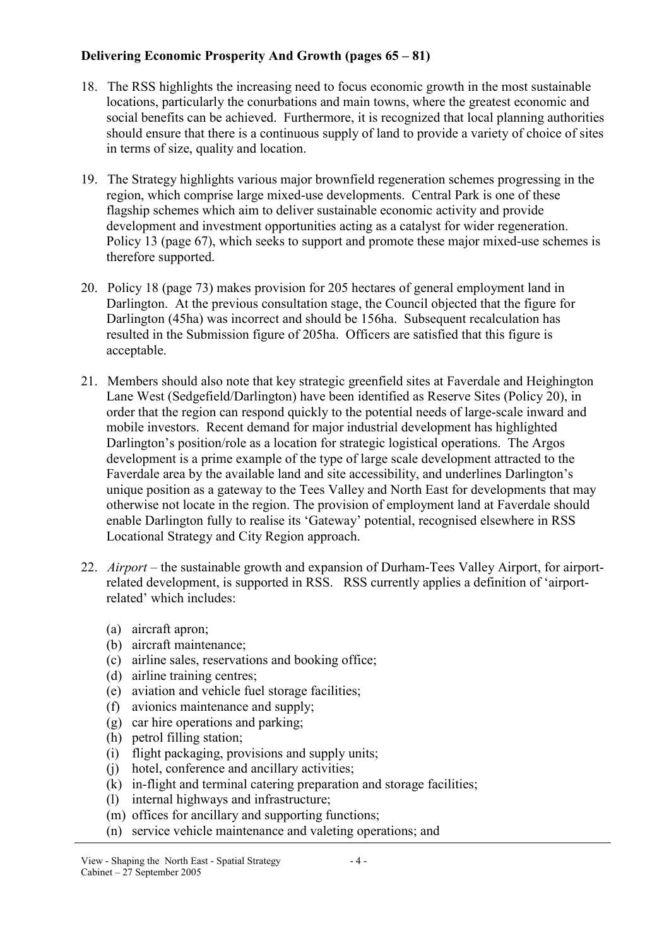## Delivering Economic Prosperity And Growth (pages 65 – 81)

- 18. The RSS highlights the increasing need to focus economic growth in the most sustainable locations, particularly the conurbations and main towns, where the greatest economic and social benefits can be achieved. Furthermore, it is recognized that local planning authorities should ensure that there is a continuous supply of land to provide a variety of choice of sites in terms of size, quality and location.
- 19. The Strategy highlights various major brownfield regeneration schemes progressing in the region, which comprise large mixed-use developments. Central Park is one of these flagship schemes which aim to deliver sustainable economic activity and provide development and investment opportunities acting as a catalyst for wider regeneration. Policy 13 (page 67), which seeks to support and promote these major mixed-use schemes is therefore supported.
- 20. Policy 18 (page 73) makes provision for 205 hectares of general employment land in Darlington. At the previous consultation stage, the Council objected that the figure for Darlington (45ha) was incorrect and should be 156ha. Subsequent recalculation has resulted in the Submission figure of 205ha. Officers are satisfied that this figure is acceptable.
- 21. Members should also note that key strategic greenfield sites at Faverdale and Heighington Lane West (Sedgefield/Darlington) have been identified as Reserve Sites (Policy 20), in order that the region can respond quickly to the potential needs of large-scale inward and mobile investors. Recent demand for major industrial development has highlighted Darlington's position/role as a location for strategic logistical operations. The Argos development is a prime example of the type of large scale development attracted to the Faverdale area by the available land and site accessibility, and underlines Darlington's unique position as a gateway to the Tees Valley and North East for developments that may otherwise not locate in the region. The provision of employment land at Faverdale should enable Darlington fully to realise its 'Gateway' potential, recognised elsewhere in RSS Locational Strategy and City Region approach.
- 22. *Airport* the sustainable growth and expansion of Durham-Tees Valley Airport, for airportrelated development, is supported in RSS. RSS currently applies a definition of 'airportrelated' which includes:
	- (a) aircraft apron;
	- (b) aircraft maintenance;
	- (c) airline sales, reservations and booking office;
	- (d) airline training centres;
	- (e) aviation and vehicle fuel storage facilities;
	- (f) avionics maintenance and supply;
	- (g) car hire operations and parking;
	- (h) petrol filling station;
	- (i) flight packaging, provisions and supply units;
	- (j) hotel, conference and ancillary activities;
	- (k) in-flight and terminal catering preparation and storage facilities;
	- (l) internal highways and infrastructure;
	- (m) offices for ancillary and supporting functions;
	- (n) service vehicle maintenance and valeting operations; and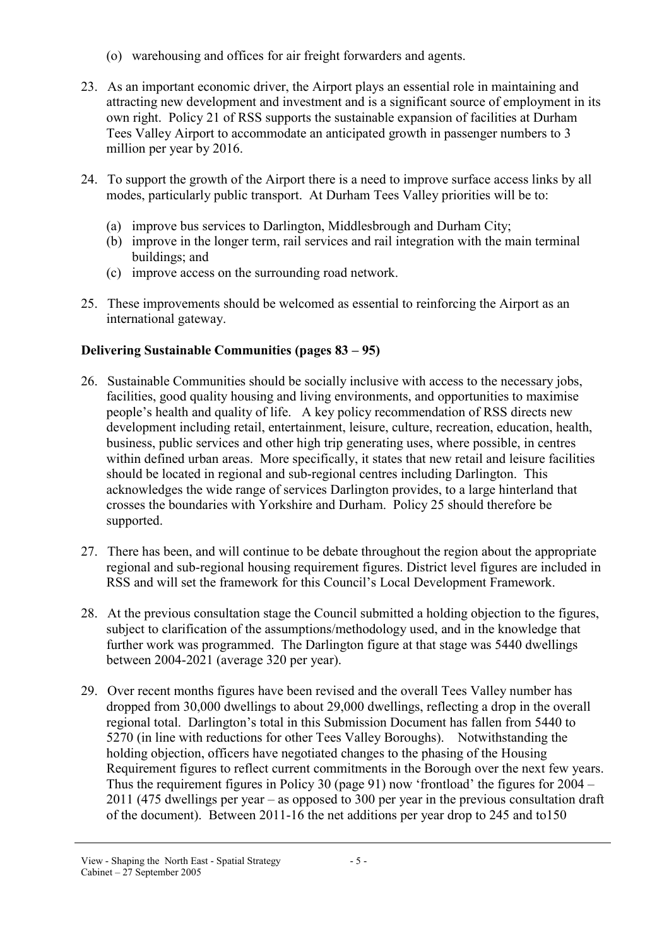- (o) warehousing and offices for air freight forwarders and agents.
- 23. As an important economic driver, the Airport plays an essential role in maintaining and attracting new development and investment and is a significant source of employment in its own right. Policy 21 of RSS supports the sustainable expansion of facilities at Durham Tees Valley Airport to accommodate an anticipated growth in passenger numbers to 3 million per year by 2016.
- 24. To support the growth of the Airport there is a need to improve surface access links by all modes, particularly public transport. At Durham Tees Valley priorities will be to:
	- (a) improve bus services to Darlington, Middlesbrough and Durham City;
	- (b) improve in the longer term, rail services and rail integration with the main terminal buildings; and
	- (c) improve access on the surrounding road network.
- 25. These improvements should be welcomed as essential to reinforcing the Airport as an international gateway.

# Delivering Sustainable Communities (pages 83 – 95)

- 26. Sustainable Communities should be socially inclusive with access to the necessary jobs, facilities, good quality housing and living environments, and opportunities to maximise people's health and quality of life. A key policy recommendation of RSS directs new development including retail, entertainment, leisure, culture, recreation, education, health, business, public services and other high trip generating uses, where possible, in centres within defined urban areas. More specifically, it states that new retail and leisure facilities should be located in regional and sub-regional centres including Darlington. This acknowledges the wide range of services Darlington provides, to a large hinterland that crosses the boundaries with Yorkshire and Durham. Policy 25 should therefore be supported.
- 27. There has been, and will continue to be debate throughout the region about the appropriate regional and sub-regional housing requirement figures. District level figures are included in RSS and will set the framework for this Council's Local Development Framework.
- 28. At the previous consultation stage the Council submitted a holding objection to the figures, subject to clarification of the assumptions/methodology used, and in the knowledge that further work was programmed. The Darlington figure at that stage was 5440 dwellings between 2004-2021 (average 320 per year).
- 29. Over recent months figures have been revised and the overall Tees Valley number has dropped from 30,000 dwellings to about 29,000 dwellings, reflecting a drop in the overall regional total. Darlington's total in this Submission Document has fallen from 5440 to 5270 (in line with reductions for other Tees Valley Boroughs). Notwithstanding the holding objection, officers have negotiated changes to the phasing of the Housing Requirement figures to reflect current commitments in the Borough over the next few years. Thus the requirement figures in Policy 30 (page 91) now 'frontload' the figures for 2004 – 2011 (475 dwellings per year – as opposed to 300 per year in the previous consultation draft of the document). Between 2011-16 the net additions per year drop to 245 and to150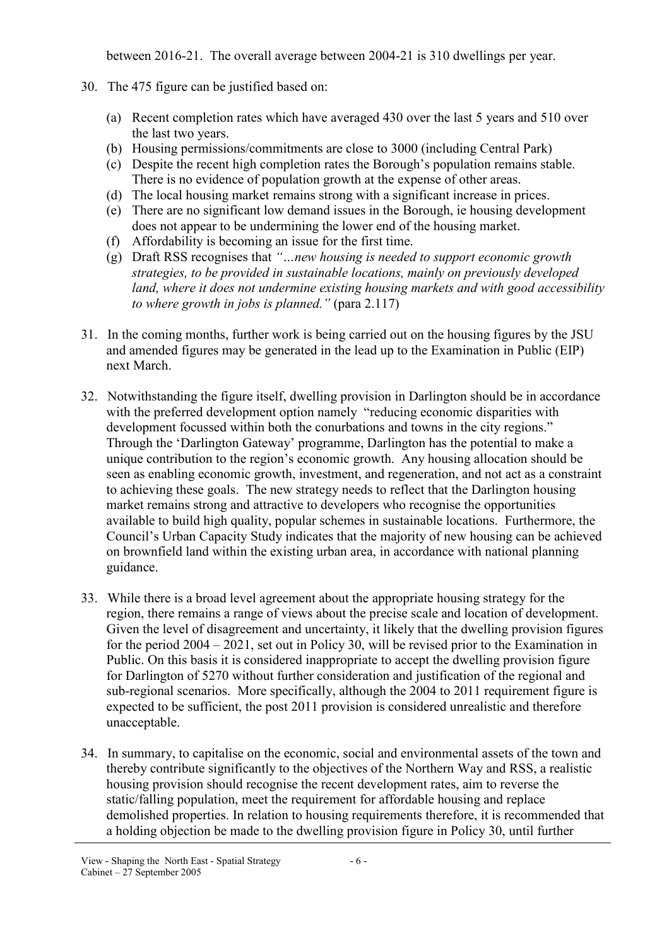between 2016-21. The overall average between 2004-21 is 310 dwellings per year.

- 30. The 475 figure can be justified based on:
	- (a) Recent completion rates which have averaged 430 over the last 5 years and 510 over the last two years.
	- (b) Housing permissions/commitments are close to 3000 (including Central Park)
	- (c) Despite the recent high completion rates the Borough's population remains stable. There is no evidence of population growth at the expense of other areas.
	- (d) The local housing market remains strong with a significant increase in prices.
	- (e) There are no significant low demand issues in the Borough, ie housing development does not appear to be undermining the lower end of the housing market.
	- (f) Affordability is becoming an issue for the first time.
	- (g) Draft RSS recognises that "…new housing is needed to support economic growth strategies, to be provided in sustainable locations, mainly on previously developed land, where it does not undermine existing housing markets and with good accessibility to where growth in jobs is planned." (para 2.117)
- 31. In the coming months, further work is being carried out on the housing figures by the JSU and amended figures may be generated in the lead up to the Examination in Public (EIP) next March.
- 32. Notwithstanding the figure itself, dwelling provision in Darlington should be in accordance with the preferred development option namely "reducing economic disparities with development focussed within both the conurbations and towns in the city regions." Through the 'Darlington Gateway' programme, Darlington has the potential to make a unique contribution to the region's economic growth. Any housing allocation should be seen as enabling economic growth, investment, and regeneration, and not act as a constraint to achieving these goals. The new strategy needs to reflect that the Darlington housing market remains strong and attractive to developers who recognise the opportunities available to build high quality, popular schemes in sustainable locations. Furthermore, the Council's Urban Capacity Study indicates that the majority of new housing can be achieved on brownfield land within the existing urban area, in accordance with national planning guidance.
- 33. While there is a broad level agreement about the appropriate housing strategy for the region, there remains a range of views about the precise scale and location of development. Given the level of disagreement and uncertainty, it likely that the dwelling provision figures for the period 2004 – 2021, set out in Policy 30, will be revised prior to the Examination in Public. On this basis it is considered inappropriate to accept the dwelling provision figure for Darlington of 5270 without further consideration and justification of the regional and sub-regional scenarios. More specifically, although the 2004 to 2011 requirement figure is expected to be sufficient, the post 2011 provision is considered unrealistic and therefore unacceptable.
- 34. In summary, to capitalise on the economic, social and environmental assets of the town and thereby contribute significantly to the objectives of the Northern Way and RSS, a realistic housing provision should recognise the recent development rates, aim to reverse the static/falling population, meet the requirement for affordable housing and replace demolished properties. In relation to housing requirements therefore, it is recommended that a holding objection be made to the dwelling provision figure in Policy 30, until further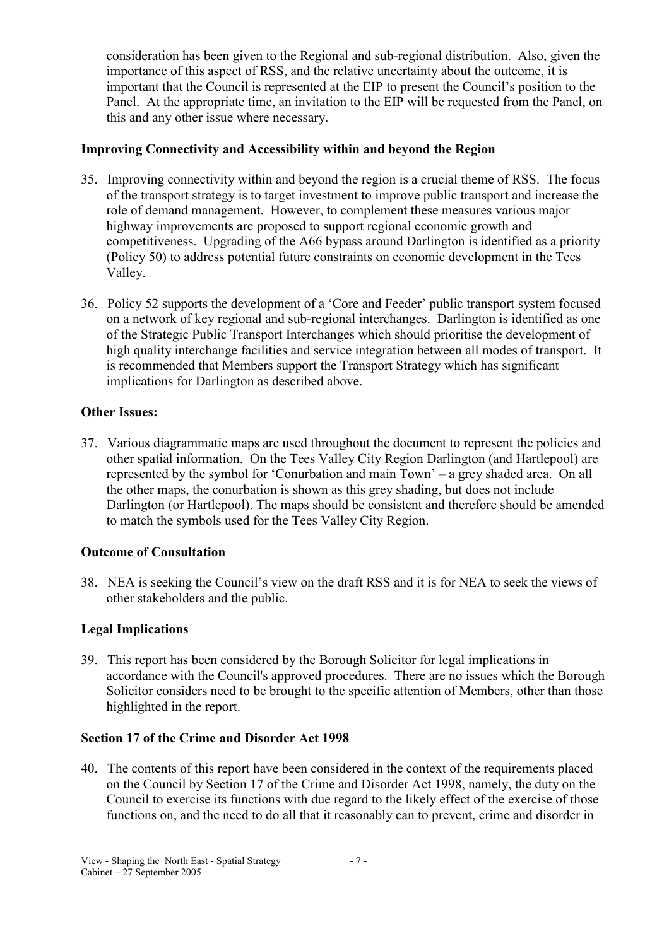consideration has been given to the Regional and sub-regional distribution. Also, given the importance of this aspect of RSS, and the relative uncertainty about the outcome, it is important that the Council is represented at the EIP to present the Council's position to the Panel. At the appropriate time, an invitation to the EIP will be requested from the Panel, on this and any other issue where necessary.

## Improving Connectivity and Accessibility within and beyond the Region

- 35. Improving connectivity within and beyond the region is a crucial theme of RSS. The focus of the transport strategy is to target investment to improve public transport and increase the role of demand management. However, to complement these measures various major highway improvements are proposed to support regional economic growth and competitiveness. Upgrading of the A66 bypass around Darlington is identified as a priority (Policy 50) to address potential future constraints on economic development in the Tees Valley.
- 36. Policy 52 supports the development of a 'Core and Feeder' public transport system focused on a network of key regional and sub-regional interchanges. Darlington is identified as one of the Strategic Public Transport Interchanges which should prioritise the development of high quality interchange facilities and service integration between all modes of transport. It is recommended that Members support the Transport Strategy which has significant implications for Darlington as described above.

## Other Issues:

37. Various diagrammatic maps are used throughout the document to represent the policies and other spatial information. On the Tees Valley City Region Darlington (and Hartlepool) are represented by the symbol for 'Conurbation and main Town' – a grey shaded area. On all the other maps, the conurbation is shown as this grey shading, but does not include Darlington (or Hartlepool). The maps should be consistent and therefore should be amended to match the symbols used for the Tees Valley City Region.

## Outcome of Consultation

38. NEA is seeking the Council's view on the draft RSS and it is for NEA to seek the views of other stakeholders and the public.

# Legal Implications

39. This report has been considered by the Borough Solicitor for legal implications in accordance with the Council's approved procedures. There are no issues which the Borough Solicitor considers need to be brought to the specific attention of Members, other than those highlighted in the report.

# Section 17 of the Crime and Disorder Act 1998

40. The contents of this report have been considered in the context of the requirements placed on the Council by Section 17 of the Crime and Disorder Act 1998, namely, the duty on the Council to exercise its functions with due regard to the likely effect of the exercise of those functions on, and the need to do all that it reasonably can to prevent, crime and disorder in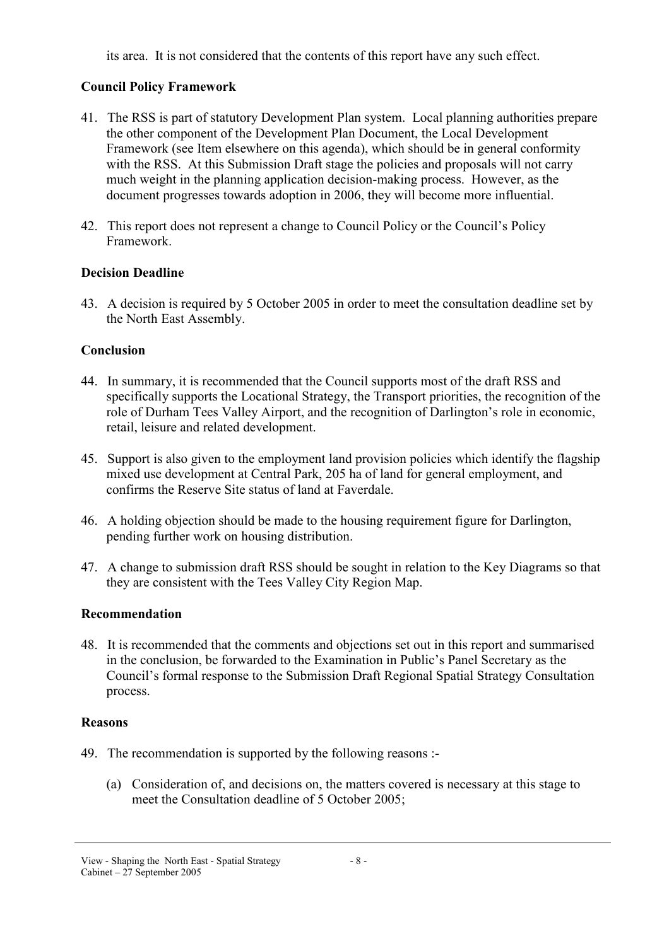its area. It is not considered that the contents of this report have any such effect.

# Council Policy Framework

- 41. The RSS is part of statutory Development Plan system. Local planning authorities prepare the other component of the Development Plan Document, the Local Development Framework (see Item elsewhere on this agenda), which should be in general conformity with the RSS. At this Submission Draft stage the policies and proposals will not carry much weight in the planning application decision-making process. However, as the document progresses towards adoption in 2006, they will become more influential.
- 42. This report does not represent a change to Council Policy or the Council's Policy Framework.

## Decision Deadline

43. A decision is required by 5 October 2005 in order to meet the consultation deadline set by the North East Assembly.

## **Conclusion**

- 44. In summary, it is recommended that the Council supports most of the draft RSS and specifically supports the Locational Strategy, the Transport priorities, the recognition of the role of Durham Tees Valley Airport, and the recognition of Darlington's role in economic, retail, leisure and related development.
- 45. Support is also given to the employment land provision policies which identify the flagship mixed use development at Central Park, 205 ha of land for general employment, and confirms the Reserve Site status of land at Faverdale.
- 46. A holding objection should be made to the housing requirement figure for Darlington, pending further work on housing distribution.
- 47. A change to submission draft RSS should be sought in relation to the Key Diagrams so that they are consistent with the Tees Valley City Region Map.

## Recommendation

48. It is recommended that the comments and objections set out in this report and summarised in the conclusion, be forwarded to the Examination in Public's Panel Secretary as the Council's formal response to the Submission Draft Regional Spatial Strategy Consultation process.

## Reasons

- 49. The recommendation is supported by the following reasons :-
	- (a) Consideration of, and decisions on, the matters covered is necessary at this stage to meet the Consultation deadline of 5 October 2005;